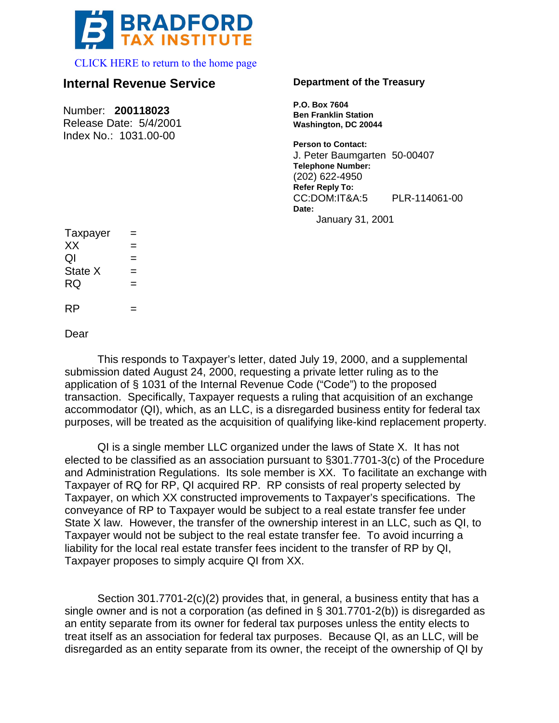

[CLICK HERE to return to the home page](www.bradfordtaxinstitute.com) 

## **Internal Revenue Service**

Number: **200118023** Release Date: 5/4/2001

Index No.: 1031.00-00

## **Department of the Treasury**

**P.O. Box 7604 Ben Franklin Station Washington, DC 20044**

**Person to Contact:** J. Peter Baumgarten 50-00407 **Telephone Number:** (202) 622-4950 **Refer Reply To:** CC:DOM:IT&A:5 PLR-114061-00 **Date:** January 31, 2001

| Taxpayer  |  |
|-----------|--|
| XX        |  |
| QI        |  |
| State X   |  |
| <b>RQ</b> |  |
|           |  |
| <b>RP</b> |  |

Dear

This responds to Taxpayer's letter, dated July 19, 2000, and a supplemental submission dated August 24, 2000, requesting a private letter ruling as to the application of § 1031 of the Internal Revenue Code ("Code") to the proposed transaction. Specifically, Taxpayer requests a ruling that acquisition of an exchange accommodator (QI), which, as an LLC, is a disregarded business entity for federal tax purposes, will be treated as the acquisition of qualifying like-kind replacement property.

QI is a single member LLC organized under the laws of State X. It has not elected to be classified as an association pursuant to §301.7701-3(c) of the Procedure and Administration Regulations. Its sole member is XX. To facilitate an exchange with Taxpayer of RQ for RP, QI acquired RP. RP consists of real property selected by Taxpayer, on which XX constructed improvements to Taxpayer's specifications. The conveyance of RP to Taxpayer would be subject to a real estate transfer fee under State X law. However, the transfer of the ownership interest in an LLC, such as QI, to Taxpayer would not be subject to the real estate transfer fee. To avoid incurring a liability for the local real estate transfer fees incident to the transfer of RP by QI, Taxpayer proposes to simply acquire QI from XX.

Section 301.7701-2(c)(2) provides that, in general, a business entity that has a single owner and is not a corporation (as defined in § 301.7701-2(b)) is disregarded as an entity separate from its owner for federal tax purposes unless the entity elects to treat itself as an association for federal tax purposes. Because QI, as an LLC, will be disregarded as an entity separate from its owner, the receipt of the ownership of QI by